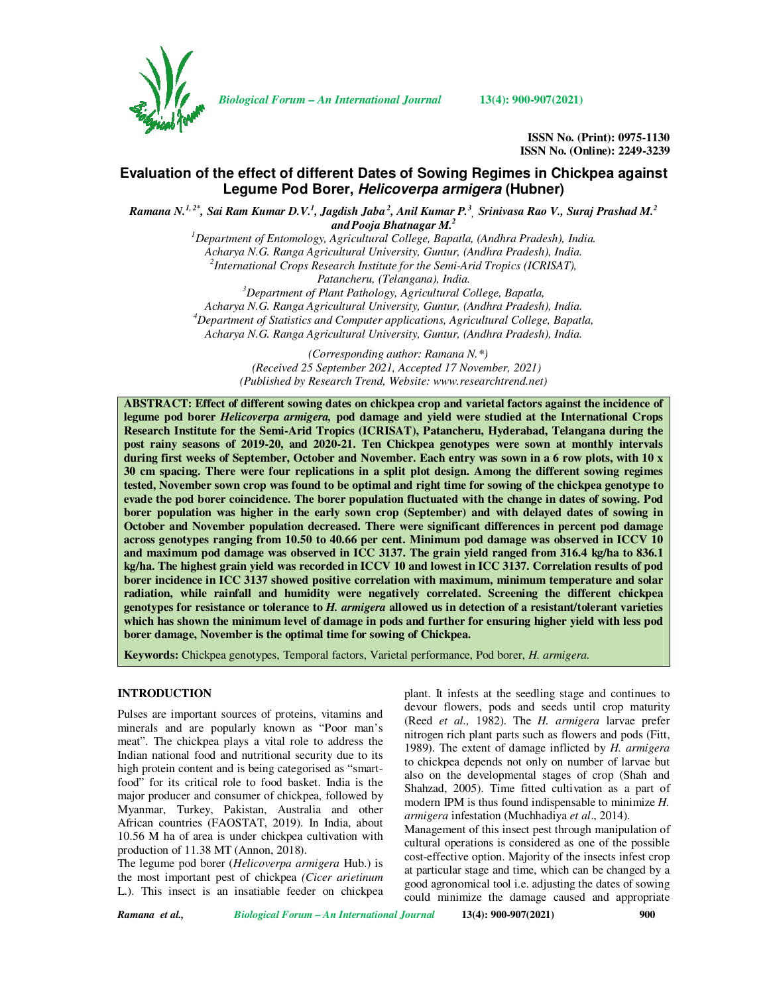

*Biological Forum – An International Journal* **13(4): 900-907(2021)**

**ISSN No. (Print): 0975-1130 ISSN No. (Online): 2249-3239** 

## **Evaluation of the effect of different Dates of Sowing Regimes in Chickpea against Legume Pod Borer, Helicoverpa armigera (Hubner)**

*Ramana N.1, 2\*, Sai Ram Kumar D.V.<sup>1</sup> , Jagdish Jaba<sup>2</sup>, Anil Kumar P.<sup>3</sup> , Srinivasa Rao V., Suraj Prashad M.<sup>2</sup> andPooja Bhatnagar M.<sup>2</sup>*

> *<sup>1</sup>Department of Entomology, Agricultural College, Bapatla, (Andhra Pradesh), India. Acharya N.G. Ranga Agricultural University, Guntur, (Andhra Pradesh), India. 2 International Crops Research Institute for the Semi-Arid Tropics (ICRISAT), Patancheru, (Telangana), India. <sup>3</sup>Department of Plant Pathology, Agricultural College, Bapatla, Acharya N.G. Ranga Agricultural University, Guntur, (Andhra Pradesh), India. <sup>4</sup>Department of Statistics and Computer applications, Agricultural College, Bapatla,*

*Acharya N.G. Ranga Agricultural University, Guntur, (Andhra Pradesh), India.* 

 *(Corresponding author: Ramana N.\*) (Received 25 September 2021, Accepted 17 November, 2021) (Published by Research Trend, Website: www.researchtrend.net)* 

**ABSTRACT: Effect of different sowing dates on chickpea crop and varietal factors against the incidence of legume pod borer** *Helicoverpa armigera,* **pod damage and yield were studied at the International Crops Research Institute for the Semi-Arid Tropics (ICRISAT), Patancheru, Hyderabad, Telangana during the post rainy seasons of 2019-20, and 2020-21. Ten Chickpea genotypes were sown at monthly intervals during first weeks of September, October and November. Each entry was sown in a 6 row plots, with 10 x 30 cm spacing. There were four replications in a split plot design. Among the different sowing regimes tested, November sown crop was found to be optimal and right time for sowing of the chickpea genotype to evade the pod borer coincidence. The borer population fluctuated with the change in dates of sowing. Pod borer population was higher in the early sown crop (September) and with delayed dates of sowing in October and November population decreased. There were significant differences in percent pod damage across genotypes ranging from 10.50 to 40.66 per cent. Minimum pod damage was observed in ICCV 10 and maximum pod damage was observed in ICC 3137. The grain yield ranged from 316.4 kg/ha to 836.1 kg/ha. The highest grain yield was recorded in ICCV 10 and lowest in ICC 3137. Correlation results of pod borer incidence in ICC 3137 showed positive correlation with maximum, minimum temperature and solar radiation, while rainfall and humidity were negatively correlated. Screening the different chickpea genotypes for resistance or tolerance to** *H. armigera* **allowed us in detection of a resistant/tolerant varieties which has shown the minimum level of damage in pods and further for ensuring higher yield with less pod borer damage, November is the optimal time for sowing of Chickpea.** 

**Keywords:** Chickpea genotypes, Temporal factors, Varietal performance, Pod borer, *H. armigera.*

### **INTRODUCTION**

Pulses are important sources of proteins, vitamins and minerals and are popularly known as "Poor man's meat". The chickpea plays a vital role to address the Indian national food and nutritional security due to its high protein content and is being categorised as "smartfood" for its critical role to food basket. India is the major producer and consumer of chickpea, followed by Myanmar, Turkey, Pakistan, Australia and other African countries (FAOSTAT, 2019). In India, about 10.56 M ha of area is under chickpea cultivation with production of 11.38 MT (Annon, 2018).

The legume pod borer (*Helicoverpa armigera* Hub.) is the most important pest of chickpea *(Cicer arietinum*  L.). This insect is an insatiable feeder on chickpea

plant. It infests at the seedling stage and continues to devour flowers, pods and seeds until crop maturity (Reed *et al.,* 1982). The *H. armigera* larvae prefer nitrogen rich plant parts such as flowers and pods (Fitt, 1989). The extent of damage inflicted by *H. armigera*  to chickpea depends not only on number of larvae but also on the developmental stages of crop (Shah and Shahzad, 2005). Time fitted cultivation as a part of modern IPM is thus found indispensable to minimize *H. armigera* infestation (Muchhadiya *et al*., 2014). Management of this insect pest through manipulation of cultural operations is considered as one of the possible

cost-effective option. Majority of the insects infest crop at particular stage and time, which can be changed by a good agronomical tool i.e. adjusting the dates of sowing could minimize the damage caused and appropriate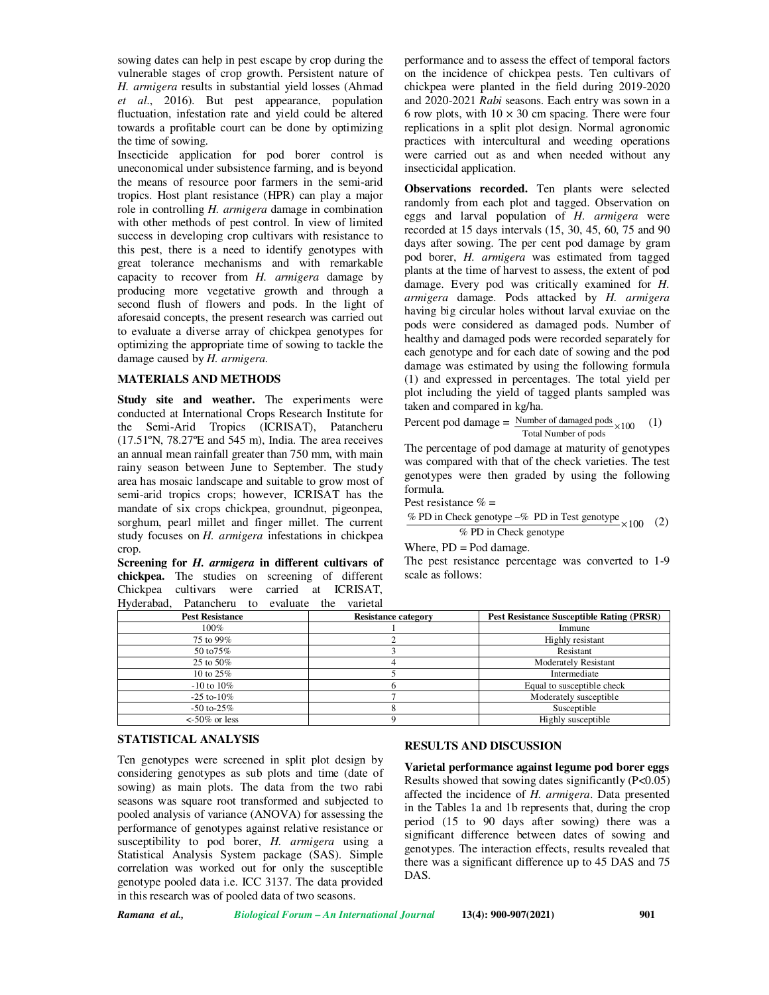sowing dates can help in pest escape by crop during the vulnerable stages of crop growth. Persistent nature of *H. armigera* results in substantial yield losses (Ahmad *et al*., 2016). But pest appearance, population fluctuation, infestation rate and yield could be altered towards a profitable court can be done by optimizing the time of sowing.

Insecticide application for pod borer control is uneconomical under subsistence farming, and is beyond the means of resource poor farmers in the semi-arid tropics. Host plant resistance (HPR) can play a major role in controlling *H. armigera* damage in combination with other methods of pest control. In view of limited success in developing crop cultivars with resistance to this pest, there is a need to identify genotypes with great tolerance mechanisms and with remarkable capacity to recover from *H. armigera* damage by producing more vegetative growth and through a second flush of flowers and pods. In the light of aforesaid concepts, the present research was carried out to evaluate a diverse array of chickpea genotypes for optimizing the appropriate time of sowing to tackle the damage caused by *H. armigera.* 

### **MATERIALS AND METHODS**

**Study site and weather.** The experiments were conducted at International Crops Research Institute for the Semi-Arid Tropics (ICRISAT), Patancheru (17.51ºN, 78.27ºE and 545 m), India. The area receives an annual mean rainfall greater than 750 mm, with main rainy season between June to September. The study area has mosaic landscape and suitable to grow most of semi-arid tropics crops; however, ICRISAT has the mandate of six crops chickpea, groundnut, pigeonpea, sorghum, pearl millet and finger millet. The current study focuses on *H. armigera* infestations in chickpea crop.

**Screening for** *H. armigera* **in different cultivars of chickpea.** The studies on screening of different Chickpea cultivars were carried at ICRISAT, Hyderabad, Patancheru to evaluate the varietal

performance and to assess the effect of temporal factors on the incidence of chickpea pests. Ten cultivars of chickpea were planted in the field during 2019-2020 and 2020-2021 *Rabi* seasons. Each entry was sown in a 6 row plots, with  $10 \times 30$  cm spacing. There were four replications in a split plot design. Normal agronomic practices with intercultural and weeding operations were carried out as and when needed without any insecticidal application.

**Observations recorded.** Ten plants were selected randomly from each plot and tagged. Observation on eggs and larval population of *H. armigera* were recorded at 15 days intervals (15, 30, 45, 60, 75 and 90 days after sowing. The per cent pod damage by gram pod borer, *H. armigera* was estimated from tagged plants at the time of harvest to assess, the extent of pod damage. Every pod was critically examined for *H. armigera* damage. Pods attacked by *H. armigera*  having big circular holes without larval exuviae on the pods were considered as damaged pods. Number of healthy and damaged pods were recorded separately for each genotype and for each date of sowing and the pod damage was estimated by using the following formula (1) and expressed in percentages. The total yield per plot including the yield of tagged plants sampled was taken and compared in kg/ha.

Percent pod damage = 
$$
\frac{\text{Number of damaged pools}}{\text{Total Number of pools}} \times 100
$$
 (1)

The percentage of pod damage at maturity of genotypes was compared with that of the check varieties. The test genotypes were then graded by using the following formula.

Pest resistance  $% =$ 

$$
\frac{\% \text{ PD in Check genotype} - \% \text{ PD in Test genotype}}{\% \text{ PD in Check genotype}} \times 100 \quad (2)
$$

Where, PD = Pod damage.

The pest resistance percentage was converted to 1-9 scale as follows:

| <b>Pest Resistance</b>  | <b>Resistance category</b> | <b>Pest Resistance Susceptible Rating (PRSR)</b> |
|-------------------------|----------------------------|--------------------------------------------------|
| 100%                    |                            | Immune                                           |
| 75 to 99%               |                            | Highly resistant                                 |
| 50 to 75%               |                            | Resistant                                        |
| 25 to 50%               |                            | <b>Moderately Resistant</b>                      |
| 10 to $25\%$            |                            | Intermediate                                     |
| $-10$ to $10\%$         |                            | Equal to susceptible check                       |
| $-25$ to- $10\%$        |                            | Moderately susceptible                           |
| $-50$ to $-25\%$        |                            | Susceptible                                      |
| $\epsilon$ -50% or less |                            | Highly susceptible                               |

### **STATISTICAL ANALYSIS**

Ten genotypes were screened in split plot design by considering genotypes as sub plots and time (date of sowing) as main plots. The data from the two rabi seasons was square root transformed and subjected to pooled analysis of variance (ANOVA) for assessing the performance of genotypes against relative resistance or susceptibility to pod borer, *H. armigera* using a Statistical Analysis System package (SAS). Simple correlation was worked out for only the susceptible genotype pooled data i.e. ICC 3137. The data provided in this research was of pooled data of two seasons.

### **RESULTS AND DISCUSSION**

**Varietal performance against legume pod borer eggs**  Results showed that sowing dates significantly (P<0.05) affected the incidence of *H. armigera*. Data presented in the Tables 1a and 1b represents that, during the crop period (15 to 90 days after sowing) there was a significant difference between dates of sowing and genotypes. The interaction effects, results revealed that there was a significant difference up to 45 DAS and 75 DAS.

*Ramana et al., Biological Forum – An International Journal* **13(4): 900-907(2021) 901**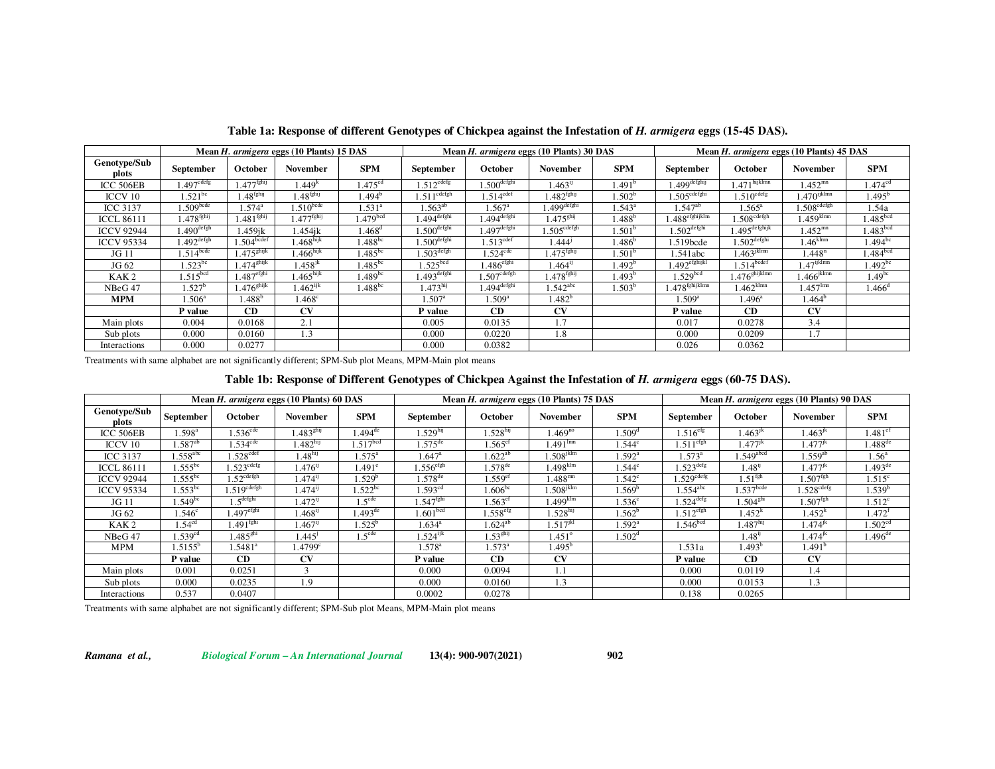|                       |                          |                         | Mean H. armigera eggs (10 Plants) 15 DAS |                      | Mean H. armigera eggs (10 Plants) 30 DAS |                           |                           |                    | Mean H. armigera eggs (10 Plants) 45 DAS |                           |                           |                      |
|-----------------------|--------------------------|-------------------------|------------------------------------------|----------------------|------------------------------------------|---------------------------|---------------------------|--------------------|------------------------------------------|---------------------------|---------------------------|----------------------|
| Genotype/Sub<br>plots | September                | October                 | November                                 | <b>SPM</b>           | September                                | October                   | November                  | <b>SPM</b>         | September                                | <b>October</b>            | November                  | <b>SPM</b>           |
| ICC 506EB             | $1.497$ <sup>cdefg</sup> | 1.477 <sup>fghij</sup>  | 1.449 <sup>k</sup>                       | 1.475 <sup>cd</sup>  | $1.512^{\text{cdefg}}$                   | $1.500$ <sup>defghi</sup> | $1.463^{ij}$              | 1.491 <sup>b</sup> | l.499 <sup>defghij</sup>                 | $1.471$ hijklmn           | $1.452^{mn}$              | 1.474 <sup>cd</sup>  |
| ICCV 10               | $1.521^{bc}$             | $1.48$ <sup>fghij</sup> | 1.48 <sup>fghij</sup>                    | $1.494^{\circ}$      | .511 <sup>cdefgh</sup>                   | $1.514^{\text{cdef}}$     | $1.482$ <sup>fghij</sup>  | $1.502^b$          | $1.505^{\text{cdefghi}}$                 | $1.510^{\text{cdefg}}$    | $1.470$ <sup>ijklmn</sup> | $1.495^{\circ}$      |
| <b>ICC 3137</b>       | .509 <sup>bcde</sup>     | $1.574^{\circ}$         | $1.510^{bcde}$                           | $1.531^{\circ}$      | $.563^{ab}$                              | $1.567^{\circ}$           | $.499$ <sup>defghi</sup>  | $1.543^a$          | $.547^{ab}$                              | $1.565^{\circ}$           | .508 <sup>cdefgh</sup>    | 1.54a                |
| <b>ICCL 86111</b>     | $1.478^{\rm fghij}$      | 1.481 <sup>fghij</sup>  | $1.477^{\mathrm{fghij}}$                 | 1.479 <sup>bcd</sup> | $.494$ <sup>defghi</sup>                 | $1.494^{\rm defghi}$      | $1.475^{ghij}$            | $1.488^{b}$        | $1.488$ efghijklm                        | $1.508^{\rm cdefgh}$      | $1.459$ <sup>klmn</sup>   | .485 <sup>bcd</sup>  |
| <b>ICCV 92944</b>     | $1.490^{\text{defgh}}$   | 1.459ik                 | 1.454ik                                  | $1.468^{\rm d}$      | $.500$ <sup>defghi</sup>                 | $1.497$ <sup>defghi</sup> | $1.505^{\mathrm{cdefgh}}$ | $1.501^b$          | $1.502^{\rm{defghi}}$                    | $1.495^{\rm defghijk}$    | $1.452^{mn}$              | 1.483 <sup>bcd</sup> |
| <b>ICCV 95334</b>     | $1.492^{\text{defgh}}$   | 1.504 <sup>bcdef</sup>  | $1.468^{\text{hijk}}$                    | $1.488^{bc}$         | .500 <sup>defghi</sup>                   | 1.513 <sup>cdef</sup>     | $1.444^{j}$               | $1.486^{b}$        | 1.519bcde                                | $1.502$ <sup>defghi</sup> | $1.46$ <sup>klmn</sup>    | $1.494^{bc}$         |
| JG 11                 | $1.514$ <sup>bcde</sup>  | $1.475^{\text{shijk}}$  | $1.466^{\text{hijk}}$                    | $1.485^{bc}$         | $1.503^{\text{defgh}}$                   | $1.524$ <sup>cde</sup>    | $1.475$ <sup>fghij</sup>  | $1.501^{\circ}$    | 1.541abc                                 | $1.463$ <sup>jklmn</sup>  | 1.448 <sup>n</sup>        | .484 <sup>bcd</sup>  |
| JG 62                 | $1.523^{bc}$             | 1.474 <sup>ghijk</sup>  | $1.458^{jk}$                             | $1.485^{bc}$         | .525 <sup>bcd</sup>                      | $1.486^{\rm efghi}$       | $1.464^{ij}$              | 1.492 <sup>b</sup> | $1.492$ <sup>efghijkl</sup>              | 1.514 <sup>bcdef</sup>    | $1.47^{\rm ijklmn}$       | $1.492^{bc}$         |
| KAK <sub>2</sub>      | 1.515 <sup>bcd</sup>     | 1.487 <sup>efghi</sup>  | 1.465 <sup>hijk</sup>                    | $1.489^{bc}$         | $.493$ <sup>defghi</sup>                 | $1.507^{\text{cdefgh}}$   | $1.478$ <sup>fghij</sup>  | $1.493^b$          | 1.529 <sup>bcd</sup>                     | $1.476^{\rm shijklmn}$    | $1.466$ <sup>jklmn</sup>  | 1.49 <sup>bc</sup>   |
| NBeG 47               | $.527^b$                 | $1.476^{\text{shijk}}$  | $1.462$ <sup>ijk</sup>                   | $1.488^{bc}$         | .473 <sup>hij</sup>                      | .494 <sup>defghi</sup>    | $1.542^{\text{abc}}$      | $1.503^b$          | $1.478^{\mathrm{fghijklmn}}$             | $1.462$ <sup>klmn</sup>   | $1.457^{lmn}$             | $1.466^{\rm d}$      |
| <b>MPM</b>            | $.506^{\circ}$           | $.488^{b}$              | $1.468^{\circ}$                          |                      | .507 <sup>a</sup>                        | $1.509^{\rm a}$           | $1.482^{b}$               |                    | $1.509^{\rm a}$                          | $1.496^{\circ}$           | $1.464^{\circ}$           |                      |
|                       | P value                  | CD                      | <b>CV</b>                                |                      | P value                                  | CD                        | <b>CV</b>                 |                    | P value                                  | CD                        | $\mathbf{C}\mathbf{V}$    |                      |
| Main plots            | 0.004                    | 0.0168                  | 2.1                                      |                      | 0.005                                    | 0.0135                    | 1.7                       |                    | 0.017                                    | 0.0278                    | 3.4                       |                      |
| Sub plots             | 0.000                    | 0.0160                  | 1.3                                      |                      | 0.000                                    | 0.0220                    | 1.8                       |                    | 0.000                                    | 0.0209                    | 1.7                       |                      |
| Interactions          | 0.000                    | 0.0277                  |                                          |                      | 0.000                                    | 0.0382                    |                           |                    | 0.026                                    | 0.0362                    |                           |                      |

Table 1a: Response of different Genotypes of Chickpea against the Infestation of H. armigera eggs (15-45 DAS).

Treatments with same alphabet are not significantly different; SPM-Sub plot Means, MPM-Main plot means

### Table 1b: Response of Different Genotypes of Chickpea Against the Infestation of H. armigera eggs (60-75 DAS).

|                       |                     |                           | Mean H. armigera eggs (10 Plants) 60 DAS |                             | Mean H. armigera eggs (10 Plants) 75 DAS |                       |                         |                    | Mean H. armigera eggs (10 Plants) 90 DAS |                         |                          |                       |
|-----------------------|---------------------|---------------------------|------------------------------------------|-----------------------------|------------------------------------------|-----------------------|-------------------------|--------------------|------------------------------------------|-------------------------|--------------------------|-----------------------|
| Genotype/Sub<br>plots | September           | October                   | <b>November</b>                          | <b>SPM</b>                  | <b>September</b>                         | October               | November                | <b>SPM</b>         | September                                | <b>October</b>          | <b>November</b>          | <b>SPM</b>            |
| ICC 506EB             | $1.598^{\rm a}$     | $1.536^{\text{cde}}$      | $1.483^{ghij}$                           | $\sqrt{494}$ <sup>de</sup>  | $1.529^{\text{hij}}$                     | 1.528 <sup>hij</sup>  | $1.469^{no}$            | $1.509^{\rm d}$    | $1.516^{\rm efg}$                        | $1.463^{jk}$            | $1.463^{\rm jk}$         | $1.481$ <sup>ef</sup> |
| ICCV 10               | $.587^{ab}$         | $1.534^{\text{cde}}$      | 1.482 <sup>hij</sup>                     | .517 <sup>bcd</sup>         | $1.575^{\text{de}}$                      | $1.565^{\text{ef}}$   | $1.491^{\text{lmn}}$    | 1.544 <sup>c</sup> | $1.511$ <sup>efgh</sup>                  | $1.477^{jk}$            | $1.477^{\rm jk}$         | $1.488^{de}$          |
| <b>ICC 3137</b>       | $1.558^{\rm abc}$   | $1.528^{\text{cdef}}$     | 1.48 <sup>hij</sup>                      | $.575^{\circ}$              | $1.647^{\circ}$                          | .622 <sup>ab</sup>    | $1.508$ <sup>jklm</sup> | $.592^{\circ}$     | $1.573^{\circ}$                          | $1.549$ <sup>abcd</sup> | $1.559^{ab}$             | $1.56^{\circ}$        |
| <b>ICCL 86111</b>     | $.555^{bc}$         | $1.523$ <sup>cdefg</sup>  | 1.476                                    | $1.491^{\rm e}$             | $1.556$ <sup>efgh</sup>                  | $1.578$ <sup>de</sup> | $1.498$ <sup>klm</sup>  | $1.544^{\circ}$    | $1.523$ <sup>defg</sup>                  | $1.48^{i}$              | $1.477^{\rm jk}$         | $1.493^{\text{de}}$   |
| <b>ICCV 92944</b>     | $.555^{bc}$         | $1.52^{\text{cdefgh}}$    | $1.474$ <sup>11</sup>                    | .529 <sup>b</sup>           | $.578^{\rm de}$                          | .559 <sup>et</sup>    | $1.488^{mn}$            | .542 <sup>c</sup>  | .529 <sup>cdefg</sup>                    | $1.51^{\rm fgh}$        | 1.507 <sup>fgh</sup>     | $1.515^c$             |
| <b>ICCV 95334</b>     | $1.553^{bc}$        | $1.519^{\mathrm{cdefgh}}$ | $1.474$ <sup>11</sup>                    | $\sqrt{.522}$ <sup>bc</sup> | 1.593 <sup>cd</sup>                      | $1.606^{bc}$          | $1.508^{\rm jklm}$      | $1.569^b$          | $1.554^{\rm abc}$                        | $1.537$ <sup>bcde</sup> | $1.528^{\mathrm{cdefg}}$ | 1.539 <sup>b</sup>    |
| JG 11                 | $1.549^{bc}$        | $1.5^{\rm{defghi}}$       | $1.472^{ij}$                             | $1.5^{\text{cde}}$          | $1.547^{\rm fghi}$                       | $1.563^{\text{ef}}$   | $1.499$ <sup>klm</sup>  | $1.536^{c}$        | $1.524$ <sup>defg</sup>                  | 1.504 <sup>ghi</sup>    | 1.507 <sup>fgh</sup>     | $1.512^c$             |
| JG 62                 | $1.546^{\circ}$     | $1.497^{\rm efghi}$       | $1.468$ <sup>ij</sup>                    | $1.493^{\text{de}}$         | 1.601 <sup>bcd</sup>                     | $1.558^{\rm efg}$     | $1.528$ <sup>hij</sup>  | $1.562^b$          | $1.512$ <sup>efgh</sup>                  | 1.452 <sup>k</sup>      | $1.452^k$                | $1.472$ <sup>t</sup>  |
| KAK <sub>2</sub>      | 1.54 <sup>cd</sup>  | $1.491^{\mathrm{fghi}}$   | $1.467^{\rm u}$                          | $.525^{\rm b}$              | $1.634^{a}$                              | $1.624^{ab}$          | $.517^{jkl}$            | $1.592^{a}$        | 1.546 <sup>bcd</sup>                     | 1.487 <sup>hij</sup>    | $1.474^{\rm sk}$         | 1.502 <sup>cd</sup>   |
| NBeG 47               | 1.539 <sup>cd</sup> | $1.485^{ghi}$             | $1.445^{\mathrm{J}}$                     | 1.5 <sup>cde</sup>          | $1.524^{ijk}$                            | $1.53^{ghij}$         | $1.451^{\circ}$         | 1.502 <sup>d</sup> |                                          | $1.48^{i}$              | $1.474^{jk}$             | $1.496^{de}$          |
| MPM                   | $1.5155^b$          | $1.5481^{\rm a}$          | 1.4799c                                  |                             | $1.578^{a}$                              | $1.573^{\circ}$       | $1.495^b$               |                    | 1.531a                                   | $1.493^{\rm b}$         | 1.491 <sup>b</sup>       |                       |
|                       | P value             | CD                        | <b>CV</b>                                |                             | P value                                  | CD                    | <b>CV</b>               |                    | P value                                  | CD                      | <b>CV</b>                |                       |
| Main plots            | 0.001               | 0.0251                    |                                          |                             | 0.000                                    | 0.0094                |                         |                    | 0.000                                    | 0.0119                  | 1.4                      |                       |
| Sub plots             | 0.000               | 0.0235                    | 1.9                                      |                             | 0.000                                    | 0.0160                | 1.3                     |                    | 0.000                                    | 0.0153                  | 1.3                      |                       |
| Interactions          | 0.537               | 0.0407                    |                                          |                             | 0.0002                                   | 0.0278                |                         |                    | 0.138                                    | 0.0265                  |                          |                       |

Treatments with same alphabet are not significantly different; SPM-Sub plot Means, MPM-Main plot means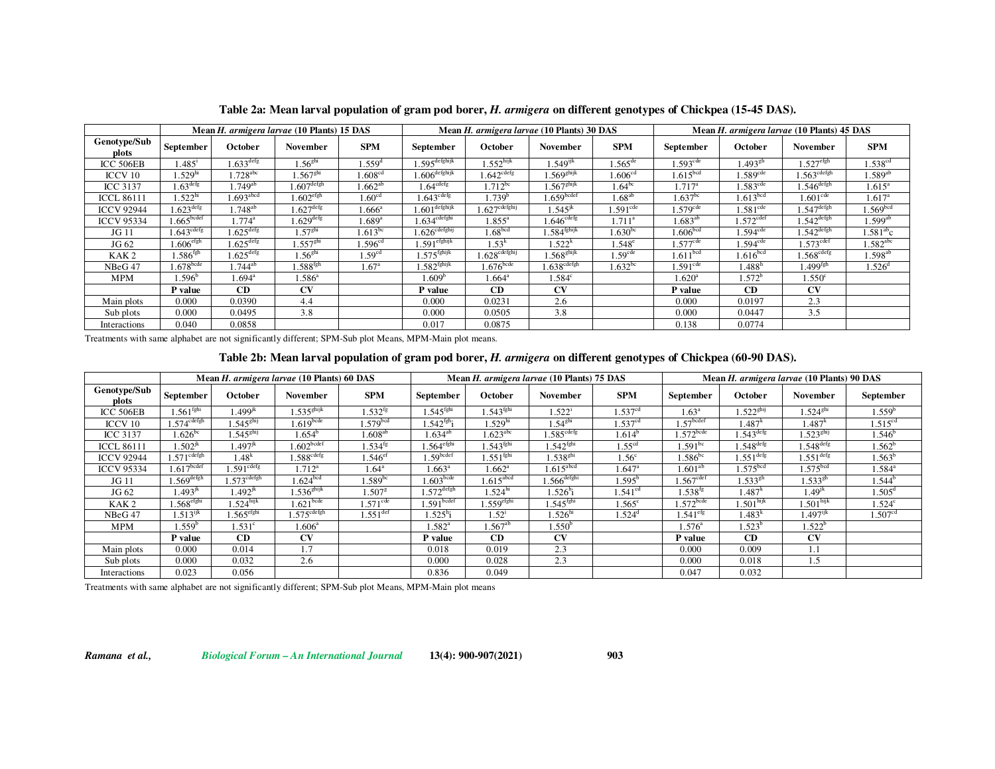|                       |                          |                         | Mean H. armigera larvae (10 Plants) 15 DAS |                      | Mean H. armigera larvae (10 Plants) 30 DAS |                             |                           |                        | Mean H. armigera larvae (10 Plants) 45 DAS |                         |                          |                        |
|-----------------------|--------------------------|-------------------------|--------------------------------------------|----------------------|--------------------------------------------|-----------------------------|---------------------------|------------------------|--------------------------------------------|-------------------------|--------------------------|------------------------|
| Genotype/Sub<br>plots | September                | October                 | November                                   | <b>SPM</b>           | September                                  | October                     | November                  | <b>SPM</b>             | September                                  | October                 | November                 | <b>SPM</b>             |
| ICC 506EB             | $1.485$ <sup>1</sup>     | $1.633$ <sup>defg</sup> | 1.56 <sup>ghi</sup>                        | 1.559 <sup>d</sup>   | $1.595$ <sup>de fghijk</sup>               | $.552$ hijk                 | $1.549^{\rm ijk}$         | $1.565$ <sup>de</sup>  | 1.593 <sup>cde</sup>                       | $1.493^\mathrm{gh}$     | $1.527$ <sup>efgh</sup>  | 1.538 <sup>cd</sup>    |
| ICCV 10               | .529 <sup>hi</sup>       | $.728$ <sup>abc</sup>   | $.567$ <sup>ghi</sup>                      | $1.608^{\rm cd}$     | $1.606$ defghijk                           | 1.642 <sup>cdefg</sup>      | .569 <sup>ghijk</sup>     | 1.606 <sup>cd</sup>    | 1.615 <sup>bcd</sup>                       | 1.589 <sup>cde</sup>    | .563 <sup>cdefgh</sup>   | $1.589$ <sup>ab</sup>  |
| <b>ICC 3137</b>       | $.63^{\text{defg}}$      | $.749^{ab}$             | $1.607^{\rm{defgh}}$                       | $1.662^{ab}$         | .64 <sup>cdefg</sup>                       | $1.712^{bc}$                | .567 <sup>ghijk</sup>     | $1.64^{\rm bc}$        | $1.717^{\rm a}$                            | 1.583 <sup>cde</sup>    | $1.546^{\text{defgh}}$   | $1.615^{\circ}$        |
| <b>ICCL 86111</b>     | .522 <sup>hi</sup>       | $1.693$ <sup>abcd</sup> | $1.602$ <sup>efgh</sup>                    | 1.60 <sup>cd</sup>   | .643 <sup>cdef</sup> g                     | .739 <sup>b</sup>           | 1.659 <sup>bcdef</sup>    | $1.\overline{68}^{ab}$ | $1.637^{bc}$                               | 1.613 <sup>bcd</sup>    | 1.601 <sup>cde</sup>     | $1.617^{\circ}$        |
| <b>ICCV 92944</b>     | $1.623$ <sup>defg</sup>  | $1.748^{ab}$            | $1.627$ <sup>defg</sup>                    | $1.666^{\circ}$      | $1.601$ defghijk                           | $1.627$ cdefghij            | $.545$ <sup>jk</sup>      | $1.591$ <sup>cde</sup> | $1.579$ <sup>cde</sup>                     | 1.581 <sup>cde</sup>    | $.547$ <sup>defgh</sup>  | .569 <sup>bcd</sup>    |
| <b>ICCV 95334</b>     | 1.665 <sup>bcdef</sup>   | $1.774^{\rm a}$         | $1.629$ <sup>defg</sup>                    | $1.689$ <sup>a</sup> | $1.634^{\mathrm{cdefghi}}$                 | $1.855^{\rm a}$             | $1.646^{\rm cdefg}$       | $1.711^a$              | $1.683^{ab}$                               | $1.572$ <sup>cdef</sup> | $.542^{\text{defgh}}$    | $1.599^{ab}$           |
| JG 11                 | $1.643^{\mathrm{cdefg}}$ | $1.625$ <sup>defg</sup> | 1.57 <sup>ghi</sup>                        | $1.613^{bc}$         | $1.626^{\mathrm{cdefghi}}$                 | .68 <sup>bcd</sup>          | $1.584^{\mathrm{fghijk}}$ | $1.630^{bc}$           | 1.606 <sup>bcd</sup>                       | $1.594$ <sup>cde</sup>  | $1.542^{\text{defgh}}$   | $1.581\mathrm{^{ab}c}$ |
| JG 62                 | $1.606$ <sup>efgh</sup>  | $1.625$ <sup>defg</sup> | 1.557 <sup>ghi</sup>                       | 1.596 <sup>cd</sup>  | $1.591$ <sup>efghijk</sup>                 | 1.53 <sup>k</sup>           | 1.522 <sup>k</sup>        | $1.548^{\circ}$        | 1.577 <sup>cde</sup>                       | $1.594$ <sup>cde</sup>  | $1.573$ <sup>cdef</sup>  | $1.582^{\rm abc}$      |
| KAK <sub>2</sub>      | .586 <sup>fgh</sup>      | $1.625$ <sup>defg</sup> | 1.56 <sup>ghi</sup>                        | 1.59 <sup>cd</sup>   | $1.575^{\mathrm{fghijk}}$                  | $1.628^{\mathrm{cdefghij}}$ | $1.568^{\text{shijk}}$    | 1.59 <sup>cde</sup>    | 1.611 <sup>bcd</sup>                       | 1.616 <sup>bcd</sup>    | $1.568^{\mathrm{cdefg}}$ | $1.598^{\rm ab}$       |
| NBeG 47               | $1.678$ <sup>bcde</sup>  | $1.744^{ab}$            | $1.588^{\rm fgh}$                          | $1.67^{\circ}$       | $1.582^{\mathrm{fghijk}}$                  | $1.676$ <sub>bcde</sub>     | $1.638^{\mathrm{cdefgh}}$ | $1.632^{bc}$           | 1.591 <sup>cde</sup>                       | $1.488^{\rm h}$         | $1.499^{fgh}$            | $1.526^{\circ}$        |
| MPM                   | $1.596^b$                | $1.694^{\rm a}$         | $1.586^{\circ}$                            |                      | 1.609 <sup>b</sup>                         | $1.664^{\circ}$             | $1.584^{\circ}$           |                        | $1.620^{\rm a}$                            | $1.572^b$               | 1.550 <sup>c</sup>       |                        |
|                       | P value                  | CD                      | <b>CV</b>                                  |                      | P value                                    | CD                          | <b>CV</b>                 |                        | P value                                    | CD                      | CV                       |                        |
| Main plots            | 0.000                    | 0.0390                  | 4.4                                        |                      | 0.000                                      | 0.0231                      | 2.6                       |                        | 0.000                                      | 0.0197                  | 2.3                      |                        |
| Sub plots             | 0.000                    | 0.0495                  | 3.8                                        |                      | 0.000                                      | 0.0505                      | 3.8                       |                        | 0.000                                      | 0.0447                  | 3.5                      |                        |
| Interactions          | 0.040                    | 0.0858                  |                                            |                      | 0.017                                      | 0.0875                      |                           |                        | 0.138                                      | 0.0774                  |                          |                        |

Table 2a: Mean larval population of gram pod borer, H. armigera on different genotypes of Chickpea (15-45 DAS).

Treatments with same alphabet are not significantly different; SPM-Sub plot Means, MPM-Main plot means.

# Table 2b: Mean larval population of gram pod borer, H. armigera on different genotypes of Chickpea (60-90 DAS).

|                       |                           |                           | Mean H. armigera larvae (10 Plants) 60 DAS |                       | Mean H. armigera larvae (10 Plants) 75 DAS |                         |                         |                     | Mean H. armigera larvae (10 Plants) 90 DAS |                         |                         |                     |
|-----------------------|---------------------------|---------------------------|--------------------------------------------|-----------------------|--------------------------------------------|-------------------------|-------------------------|---------------------|--------------------------------------------|-------------------------|-------------------------|---------------------|
| Genotype/Sub<br>plots | September                 | October                   | November                                   | <b>SPM</b>            | September                                  | <b>October</b>          | <b>November</b>         | <b>SPM</b>          | September                                  | <b>October</b>          | November                | September           |
| ICC 506EB             | 1.561 <sup>fghi</sup>     | $499^{jk}$                | 1.535 <sup>ghijk</sup>                     | $1.532^{tg}$          | 1.545 <sup>fghi</sup>                      | $1.543^{\mathrm{fghi}}$ | $1.522^1$               | 1.537 <sup>cd</sup> | $1.63^a$                                   | $1.522$ <sup>ghij</sup> | $1.524$ <sup>ghi</sup>  | 1.559 <sup>b</sup>  |
| ICCV 10               | .574 <sup>cdefgh</sup>    | $1.545^{g h i j}$         | $1.619$ <sub>bcde</sub>                    | 1.579 <sup>bcd</sup>  | $1.542^{\mathrm{fgh}}$ i                   | $1.529^{\rm h}$         | $1.54^\mathrm{ghi}$     | $1.537^{cd}$        | $1.57$ <sup>bcdef</sup>                    | 1.487 <sup>k</sup>      | 4.487 <sup>K</sup>      | 1.515 <sup>cd</sup> |
| <b>ICC 3137</b>       | $1.626^{bc}$              | $1.545^{\text{shij}}$     | $1.654^b$                                  | $1.608^{ab}$          | .634 <sup>ab</sup>                         | $1.623^{\rm abc}$       | $1.585^{\text{cdefg}}$  | $1.614^b$           | $1.572$ <sup>bcde</sup>                    | .543 <sup>defg</sup>    | 1.523 <sup>ghij</sup>   | $1.546^b$           |
| <b>ICCL 86111</b>     | $.502^{jk}$               | $1.497^{\rm jk}$          | .602 <sub>bcdef</sub>                      | $1.534^{ig}$          | $1.564^{\rm efghi}$                        | .543 <sup>f</sup> ghi   | $1.542$ <sup>fghi</sup> | 1.55 <sup>cd</sup>  | $1.591^{bc}$                               | $1.548^{\text{defg}}$   | $1.548$ <sup>defg</sup> | $1.562^b$           |
| <b>ICCV 92944</b>     | $1.571^{\mathrm{cdefgh}}$ | 1.48 <sup>k</sup>         | $1.588^{\mathrm{cdefg}}$                   | $1.546$ <sup>ef</sup> | $1.59$ bcdef                               | $1.551^{\rm fghi}$      | $1.538^{\rm ghi}$       | 1.56 <sup>c</sup>   | $1.586^{bc}$                               | $.551^{\text{defg}}$    | $1.551$ <sup>defg</sup> | $1.563^b$           |
| <b>ICCV 95334</b>     | 1.617 <sup>bcdef</sup>    | $1.591^{\mathrm{cdefg}}$  | $1.712^a$                                  | $1.64^{\circ}$        | $1.663^{\rm a}$                            | $1.662^{\rm a}$         | $1.615$ <sup>abcd</sup> | $1.647^a$           | $1.601^{ab}$                               | 1.575 <sup>bcd</sup>    | 1.575 <sup>bcd</sup>    | $1.584^{\rm a}$     |
| JG 11                 | $1.569^{\rm{defgh}}$      | $1.573^{\mathrm{cdefgh}}$ | 1.624 <sup>bcd</sup>                       | $1.589^{bc}$          | .603 <sub>bcde</sub>                       | $1.615$ <sup>abcd</sup> | $1.566^{\rm defghi}$    | $1.595^{\circ}$     | $1.567^{\text{cdef}}$                      | $1.533^{gh}$            | $1.533^{gh}$            | 1.544 <sup>b</sup>  |
| JG 62                 | $1.493^{\rm jk}$          | $1.492^{\rm jk}$          | 1.536 <sup>ghijk</sup>                     | $1.507^{8}$           | $1.572$ <sup>defgh</sup>                   | 1.524 <sup>hi</sup>     | $1.526^{\rm h}$ i       | 1.541 <sup>cd</sup> | $1.538$ <sup>fg</sup>                      | 1.487 <sup>k</sup>      | $1.49^{jk}$             | $1.505^{\rm d}$     |
| KAK <sub>2</sub>      | $1.568$ <sup>efghi</sup>  | $1.524^{\text{hijk}}$     | $1.621$ <sup>bcde</sup>                    | $1.571^{\text{cde}}$  | 1.591 <sup>bcdef</sup>                     | 1.559 <sup>efghi</sup>  | 1.545 <sup>fghi</sup>   | $1.565^{\circ}$     | $1.572$ <sup>bcde</sup>                    | $1.501^{\text{hijk}}$   | $1.501$ hijk            | $1.524^c$           |
| NBeG 47               | $1.513^{ijk}$             | $1.565^{\text{efghi}}$    | $1.575$ <sup>cdefgh</sup>                  | $1.551^{\text{def}}$  | $.525^{h}$ i                               | $1.52^{\circ}$          | $1.526^{\rm hi}$        | $1.524^{\rm d}$     | $1.541$ <sup>efg</sup>                     | $1.483^{k}$             | $1.497$ <sup>ijk</sup>  | 1.507 <sup>cd</sup> |
| <b>MPM</b>            | $1.559^b$                 | $1.531^{\circ}$           | $1.606^{\circ}$                            |                       | $1.582$ <sup>a</sup>                       | $1.567^{ab}$            | $4.550^b$               |                     | $1.576^{\circ}$                            | $.523^b$                | $1.522^b$               |                     |
|                       | P value                   | CD                        | <b>CV</b>                                  |                       | P value                                    | CD                      | <b>CV</b>               |                     | P value                                    | CD                      | $\mathbf{C}\mathbf{V}$  |                     |
| Main plots            | 0.000                     | 0.014                     | 1.7                                        |                       | 0.018                                      | 0.019                   | 2.3                     |                     | 0.000                                      | 0.009                   | 1.1                     |                     |
| Sub plots             | 0.000                     | 0.032                     | 2.6                                        |                       | 0.000                                      | 0.028                   | 2.3                     |                     | 0.000                                      | 0.018                   | 1.5                     |                     |
| Interactions          | 0.023                     | 0.056                     |                                            |                       | 0.836                                      | 0.049                   |                         |                     | 0.047                                      | 0.032                   |                         |                     |

Treatments with same alphabet are not significantly different; SPM-Sub plot Means, MPM-Main plot means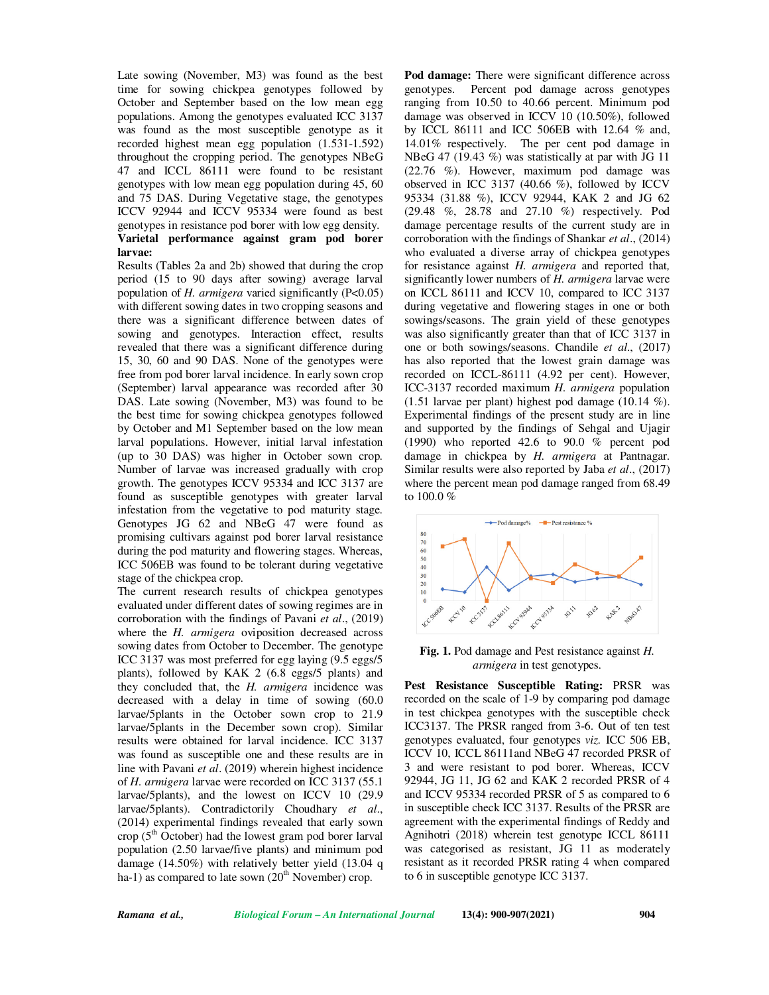Late sowing (November, M3) was found as the best time for sowing chickpea genotypes followed by October and September based on the low mean egg populations. Among the genotypes evaluated ICC 3137 was found as the most susceptible genotype as it recorded highest mean egg population (1.531-1.592) throughout the cropping period. The genotypes NBeG 47 and ICCL 86111 were found to be resistant genotypes with low mean egg population during 45, 60 and 75 DAS. During Vegetative stage, the genotypes ICCV 92944 and ICCV 95334 were found as best genotypes in resistance pod borer with low egg density. **Varietal performance against gram pod borer larvae:**

Results (Tables 2a and 2b) showed that during the crop period (15 to 90 days after sowing) average larval population of *H. armigera* varied significantly (P<0.05) with different sowing dates in two cropping seasons and there was a significant difference between dates of sowing and genotypes. Interaction effect, results revealed that there was a significant difference during 15, 30, 60 and 90 DAS. None of the genotypes were free from pod borer larval incidence. In early sown crop (September) larval appearance was recorded after 30 DAS. Late sowing (November, M3) was found to be the best time for sowing chickpea genotypes followed by October and M1 September based on the low mean larval populations. However, initial larval infestation (up to 30 DAS) was higher in October sown crop. Number of larvae was increased gradually with crop growth. The genotypes ICCV 95334 and ICC 3137 are found as susceptible genotypes with greater larval infestation from the vegetative to pod maturity stage. Genotypes JG 62 and NBeG 47 were found as promising cultivars against pod borer larval resistance during the pod maturity and flowering stages. Whereas, ICC 506EB was found to be tolerant during vegetative stage of the chickpea crop.

The current research results of chickpea genotypes evaluated under different dates of sowing regimes are in corroboration with the findings of Pavani *et al*., (2019) where the *H. armigera* oviposition decreased across sowing dates from October to December. The genotype ICC 3137 was most preferred for egg laying (9.5 eggs/5 plants), followed by KAK 2 (6.8 eggs/5 plants) and they concluded that, the *H. armigera* incidence was decreased with a delay in time of sowing (60.0 larvae/5plants in the October sown crop to 21.9 larvae/5plants in the December sown crop). Similar results were obtained for larval incidence. ICC 3137 was found as susceptible one and these results are in line with Pavani *et al*. (2019) wherein highest incidence of *H. armigera* larvae were recorded on ICC 3137 (55.1 larvae/5plants), and the lowest on ICCV 10 (29.9 larvae/5plants). Contradictorily Choudhary *et al*., (2014) experimental findings revealed that early sown crop ( $5<sup>th</sup>$  October) had the lowest gram pod borer larval population (2.50 larvae/five plants) and minimum pod damage (14.50%) with relatively better yield (13.04 q ha-1) as compared to late sown  $(20<sup>th</sup>$  November) crop.

**Pod damage:** There were significant difference across genotypes. Percent pod damage across genotypes ranging from 10.50 to 40.66 percent. Minimum pod damage was observed in ICCV 10 (10.50%), followed by ICCL 86111 and ICC 506EB with 12.64 % and, 14.01% respectively. The per cent pod damage in NBeG 47 (19.43 %) was statistically at par with JG 11 (22.76 %). However, maximum pod damage was observed in ICC 3137 (40.66 %), followed by ICCV 95334 (31.88 %), ICCV 92944, KAK 2 and JG 62 (29.48 %, 28.78 and 27.10 %) respectively. Pod damage percentage results of the current study are in corroboration with the findings of Shankar *et al*., (2014) who evaluated a diverse array of chickpea genotypes for resistance against *H. armigera* and reported that*,*  significantly lower numbers of *H. armigera* larvae were on ICCL 86111 and ICCV 10, compared to ICC 3137 during vegetative and flowering stages in one or both sowings/seasons. The grain yield of these genotypes was also significantly greater than that of ICC 3137 in one or both sowings/seasons. Chandile *et al*., (2017) has also reported that the lowest grain damage was recorded on ICCL-86111 (4.92 per cent). However, ICC-3137 recorded maximum *H. armigera* population (1.51 larvae per plant) highest pod damage (10.14 %). Experimental findings of the present study are in line and supported by the findings of Sehgal and Ujagir (1990) who reported 42.6 to 90.0 % percent pod damage in chickpea by *H. armigera* at Pantnagar. Similar results were also reported by Jaba *et al*., (2017) where the percent mean pod damage ranged from 68.49 to 100.0 %



### **Fig. 1.** Pod damage and Pest resistance against *H. armigera* in test genotypes.

**Pest Resistance Susceptible Rating:** PRSR was recorded on the scale of 1-9 by comparing pod damage in test chickpea genotypes with the susceptible check ICC3137. The PRSR ranged from 3-6. Out of ten test genotypes evaluated, four genotypes *viz.* ICC 506 EB, ICCV 10, ICCL 86111and NBeG 47 recorded PRSR of 3 and were resistant to pod borer. Whereas, ICCV 92944, JG 11, JG 62 and KAK 2 recorded PRSR of 4 and ICCV 95334 recorded PRSR of 5 as compared to 6 in susceptible check ICC 3137. Results of the PRSR are agreement with the experimental findings of Reddy and Agnihotri (2018) wherein test genotype ICCL 86111 was categorised as resistant, JG 11 as moderately resistant as it recorded PRSR rating 4 when compared to 6 in susceptible genotype ICC 3137.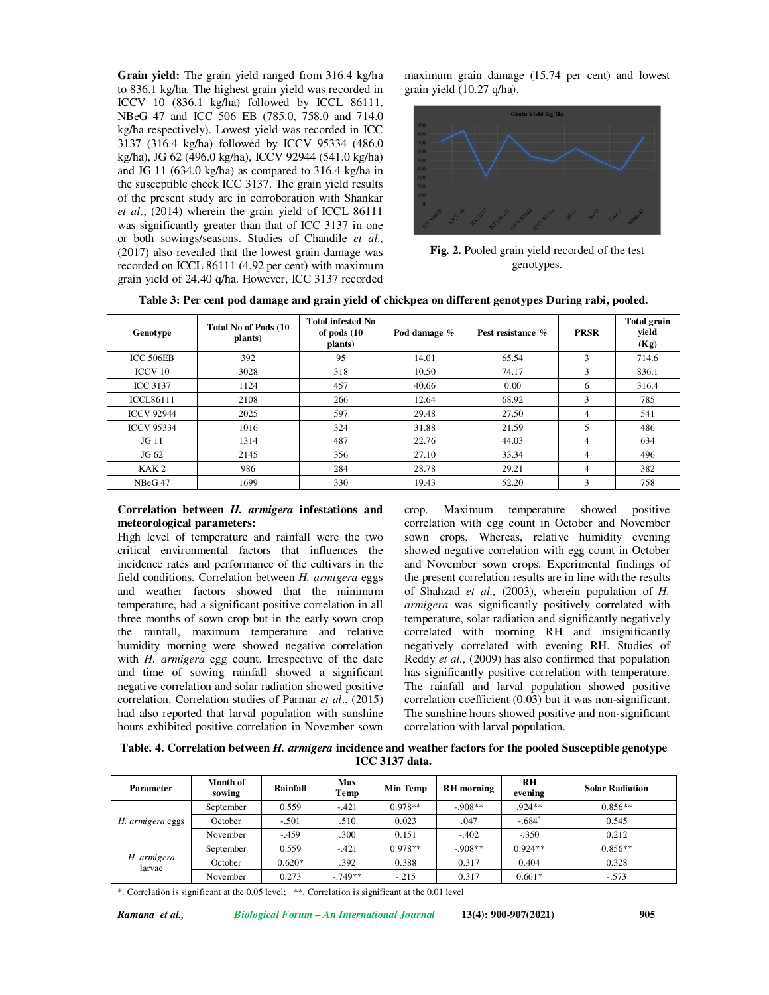**Grain yield:** The grain yield ranged from 316.4 kg/ha to 836.1 kg/ha. The highest grain yield was recorded in ICCV 10 (836.1 kg/ha) followed by ICCL 86111, NBeG 47 and ICC 506 EB (785.0, 758.0 and 714.0 kg/ha respectively). Lowest yield was recorded in ICC 3137 (316.4 kg/ha) followed by ICCV 95334 (486.0 kg/ha), JG 62 (496.0 kg/ha), ICCV 92944 (541.0 kg/ha) and JG 11 (634.0 kg/ha) as compared to 316.4 kg/ha in the susceptible check ICC 3137. The grain yield results of the present study are in corroboration with Shankar *et al*., (2014) wherein the grain yield of ICCL 86111 was significantly greater than that of ICC 3137 in one or both sowings/seasons. Studies of Chandile *et al*., (2017) also revealed that the lowest grain damage was recorded on ICCL 86111 (4.92 per cent) with maximum grain yield of 24.40 q/ha. However, ICC 3137 recorded

maximum grain damage (15.74 per cent) and lowest grain yield (10.27 q/ha).



**Fig. 2.** Pooled grain yield recorded of the test genotypes.

|  |  |  | Table 3: Per cent pod damage and grain yield of chickpea on different genotypes During rabi, pooled. |
|--|--|--|------------------------------------------------------------------------------------------------------|
|--|--|--|------------------------------------------------------------------------------------------------------|

| Genotype           | Total No of Pods (10)<br>plants) | <b>Total infested No</b><br>of pods (10<br>plants) | Pod damage % | Pest resistance % | <b>PRSR</b>    | <b>Total grain</b><br>yield<br>(Kg) |
|--------------------|----------------------------------|----------------------------------------------------|--------------|-------------------|----------------|-------------------------------------|
| ICC 506EB          | 392                              | 95                                                 | 14.01        | 65.54             | 3              | 714.6                               |
| <b>ICCV 10</b>     | 3028                             | 318                                                | 10.50        | 74.17             | 3              | 836.1                               |
| <b>ICC 3137</b>    | 1124                             | 457                                                | 40.66        | 0.00              | 6              | 316.4                               |
| <b>ICCL86111</b>   | 2108                             | 266                                                | 12.64        | 68.92             | 3              | 785                                 |
| <b>ICCV 92944</b>  | 2025                             | 597                                                | 29.48        | 27.50             | $\overline{4}$ | 541                                 |
| <b>ICCV 95334</b>  | 1016                             | 324                                                | 31.88        | 21.59             | 5              | 486                                 |
| JG 11              | 1314                             | 487                                                | 22.76        | 44.03             | 4              | 634                                 |
| JG 62              | 2145                             | 356                                                | 27.10        | 33.34             | $\overline{4}$ | 496                                 |
| KAK <sub>2</sub>   | 986                              | 284                                                | 28.78        | 29.21             | $\overline{4}$ | 382                                 |
| NBeG <sub>47</sub> | 1699                             | 330                                                | 19.43        | 52.20             | 3              | 758                                 |

### **Correlation between** *H. armigera* **infestations and meteorological parameters:**

High level of temperature and rainfall were the two critical environmental factors that influences the incidence rates and performance of the cultivars in the field conditions. Correlation between *H. armigera* eggs and weather factors showed that the minimum temperature, had a significant positive correlation in all three months of sown crop but in the early sown crop the rainfall, maximum temperature and relative humidity morning were showed negative correlation with *H. armigera* egg count. Irrespective of the date and time of sowing rainfall showed a significant negative correlation and solar radiation showed positive correlation. Correlation studies of Parmar *et al*., (2015) had also reported that larval population with sunshine hours exhibited positive correlation in November sown crop. Maximum temperature showed positive correlation with egg count in October and November sown crops. Whereas, relative humidity evening showed negative correlation with egg count in October and November sown crops. Experimental findings of the present correlation results are in line with the results of Shahzad *et al.,* (2003), wherein population of *H. armigera* was significantly positively correlated with temperature, solar radiation and significantly negatively correlated with morning RH and insignificantly negatively correlated with evening RH. Studies of Reddy *et al.,* (2009) has also confirmed that population has significantly positive correlation with temperature. The rainfall and larval population showed positive correlation coefficient (0.03) but it was non-significant. The sunshine hours showed positive and non-significant correlation with larval population.

**Table. 4. Correlation between** *H. armigera* **incidence and weather factors for the pooled Susceptible genotype ICC 3137 data.**

| <b>Parameter</b>      | Month of<br>sowing | Rainfall | Max<br>Temp | <b>Min Temp</b> | <b>RH</b> morning | <b>RH</b><br>evening | <b>Solar Radiation</b> |
|-----------------------|--------------------|----------|-------------|-----------------|-------------------|----------------------|------------------------|
| H. armigera eggs      | September          | 0.559    | $-.421$     | $0.978**$       | $-908**$          | $.924**$             | $0.856**$              |
|                       | October            | $-.501$  | .510        | 0.023           | .047              | $-.684$ <sup>*</sup> | 0.545                  |
|                       | November           | $-.459$  | .300        | 0.151           | $-.402$           | $-.350$              | 0.212                  |
| H. armigera<br>larvae | September          | 0.559    | $-.421$     | $0.978**$       | $-0.908**$        | $0.924**$            | $0.856**$              |
|                       | October            | $0.620*$ | .392        | 0.388           | 0.317             | 0.404                | 0.328                  |
|                       | November           | 0.273    | $-749**$    | $-.215$         | 0.317             | $0.661*$             | $-.573$                |

\*. Correlation is significant at the 0.05 level; \*\*. Correlation is significant at the 0.01 level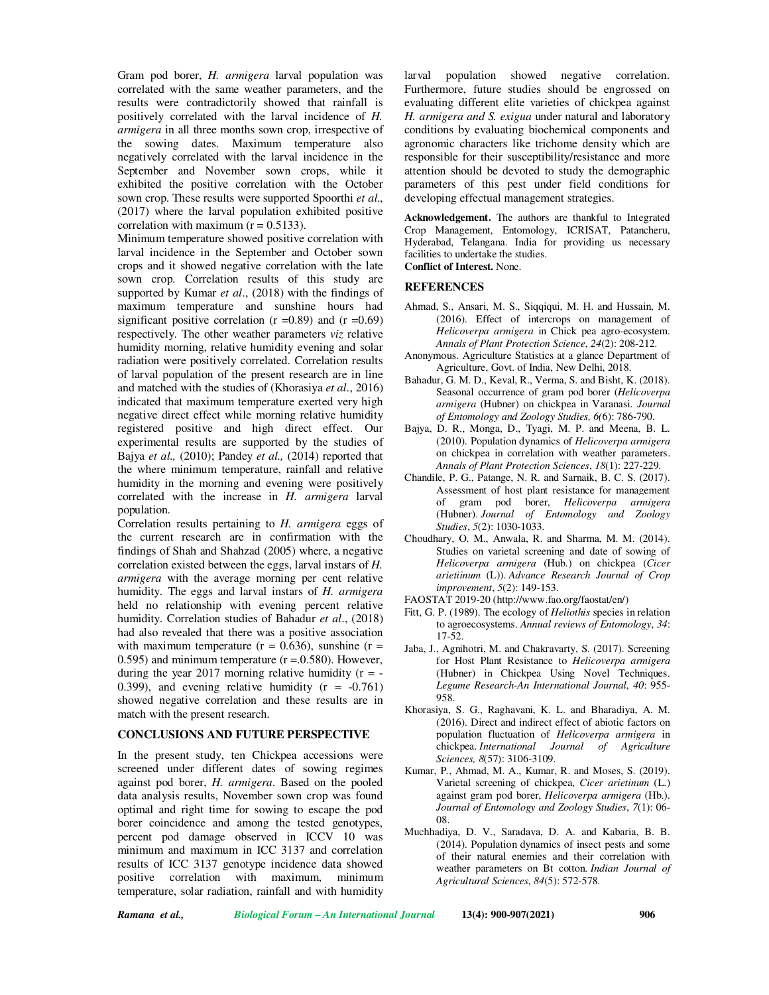Gram pod borer, *H. armigera* larval population was correlated with the same weather parameters, and the results were contradictorily showed that rainfall is positively correlated with the larval incidence of *H. armigera* in all three months sown crop, irrespective of the sowing dates. Maximum temperature also negatively correlated with the larval incidence in the September and November sown crops, while it exhibited the positive correlation with the October sown crop. These results were supported Spoorthi *et al*., (2017) where the larval population exhibited positive correlation with maximum  $(r = 0.5133)$ .

Minimum temperature showed positive correlation with larval incidence in the September and October sown crops and it showed negative correlation with the late sown crop. Correlation results of this study are supported by Kumar *et al*., (2018) with the findings of maximum temperature and sunshine hours had significant positive correlation  $(r = 0.89)$  and  $(r = 0.69)$ respectively. The other weather parameters *viz* relative humidity morning, relative humidity evening and solar radiation were positively correlated. Correlation results of larval population of the present research are in line and matched with the studies of (Khorasiya *et al*., 2016) indicated that maximum temperature exerted very high negative direct effect while morning relative humidity registered positive and high direct effect. Our experimental results are supported by the studies of Bajya *et al.,* (2010); Pandey *et al.,* (2014) reported that the where minimum temperature, rainfall and relative humidity in the morning and evening were positively correlated with the increase in *H. armigera* larval population.

Correlation results pertaining to *H. armigera* eggs of the current research are in confirmation with the findings of Shah and Shahzad (2005) where, a negative correlation existed between the eggs, larval instars of *H. armigera* with the average morning per cent relative humidity. The eggs and larval instars of *H. armigera*  held no relationship with evening percent relative humidity. Correlation studies of Bahadur *et al*., (2018) had also revealed that there was a positive association with maximum temperature  $(r = 0.636)$ , sunshine  $(r =$ 0.595) and minimum temperature  $(r = 0.580)$ . However, during the year 2017 morning relative humidity  $(r = -$ 0.399), and evening relative humidity  $(r = -0.761)$ showed negative correlation and these results are in match with the present research.

### **CONCLUSIONS AND FUTURE PERSPECTIVE**

In the present study, ten Chickpea accessions were screened under different dates of sowing regimes against pod borer, *H. armigera*. Based on the pooled data analysis results, November sown crop was found optimal and right time for sowing to escape the pod borer coincidence and among the tested genotypes, percent pod damage observed in ICCV 10 was minimum and maximum in ICC 3137 and correlation results of ICC 3137 genotype incidence data showed positive correlation with maximum, minimum temperature, solar radiation, rainfall and with humidity

larval population showed negative correlation. Furthermore, future studies should be engrossed on evaluating different elite varieties of chickpea against *H. armigera and S. exigua* under natural and laboratory conditions by evaluating biochemical components and agronomic characters like trichome density which are responsible for their susceptibility/resistance and more attention should be devoted to study the demographic parameters of this pest under field conditions for developing effectual management strategies.

**Acknowledgement.** The authors are thankful to Integrated Crop Management, Entomology, ICRISAT, Patancheru, Hyderabad, Telangana. India for providing us necessary facilities to undertake the studies. **Conflict of Interest.** None.

#### **REFERENCES**

- Ahmad, S., Ansari, M. S., Siqqiqui, M. H. and Hussain, M. (2016). Effect of intercrops on management of *Helicoverpa armigera* in Chick pea agro-ecosystem. *Annals of Plant Protection Science*, *24*(2): 208-212.
- Anonymous. Agriculture Statistics at a glance Department of Agriculture, Govt. of India, New Delhi, 2018.
- Bahadur, G. M. D., Keval, R., Verma, S. and Bisht, K. (2018). Seasonal occurrence of gram pod borer (*Helicoverpa armigera* (Hubner) on chickpea in Varanasi. *Journal of Entomology and Zoology Studies, 6(*6): 786-790.
- Bajya, D. R., Monga, D., Tyagi, M. P. and Meena, B. L. (2010). Population dynamics of *Helicoverpa armigera*  on chickpea in correlation with weather parameters. *Annals of Plant Protection Sciences*, *18*(1): 227-229.
- Chandile, P. G., Patange, N. R. and Sarnaik, B. C. S. (2017). Assessment of host plant resistance for management of gram pod borer, *Helicoverpa armigera* (Hubner). *Journal of Entomology and Zoology Studies*, *5*(2): 1030-1033.
- Choudhary, O. M., Anwala, R. and Sharma, M. M. (2014). Studies on varietal screening and date of sowing of *Helicoverpa armigera* (Hub.) on chickpea (*Cicer arietiinum* (L)). *Advance Research Journal of Crop improvement*, *5*(2): 149-153.
- FAOSTAT 2019-20 (http://www.fao.org/faostat/en/)
- Fitt, G. P. (1989). The ecology of *Heliothis* species in relation to agroecosystems. *Annual reviews of Entomology*, *34*: 17-52.
- Jaba, J., Agnihotri, M. and Chakravarty, S. (2017). Screening for Host Plant Resistance to *Helicoverpa armigera* (Hubner) in Chickpea Using Novel Techniques. *Legume Research-An International Journal*, *40*: 955- 958.
- Khorasiya, S. G., Raghavani, K. L. and Bharadiya, A. M. (2016). Direct and indirect effect of abiotic factors on population fluctuation of *Helicoverpa armigera* in chickpea. *International Journal of Agriculture Sciences, 8*(57): 3106-3109.
- Kumar, P., Ahmad, M. A., Kumar, R. and Moses, S. (2019). Varietal screening of chickpea, *Cicer arietinum* (L.) against gram pod borer, *Helicoverpa armigera* (Hb.). *Journal of Entomology and Zoology Studies*, *7*(1): 06- 08.
- Muchhadiya, D. V., Saradava, D. A. and Kabaria, B. B. (2014). Population dynamics of insect pests and some of their natural enemies and their correlation with weather parameters on Bt cotton. *Indian Journal of Agricultural Sciences*, *84*(5): 572-578.

*Ramana et al., Biological Forum – An International Journal* **13(4): 900-907(2021) 906**